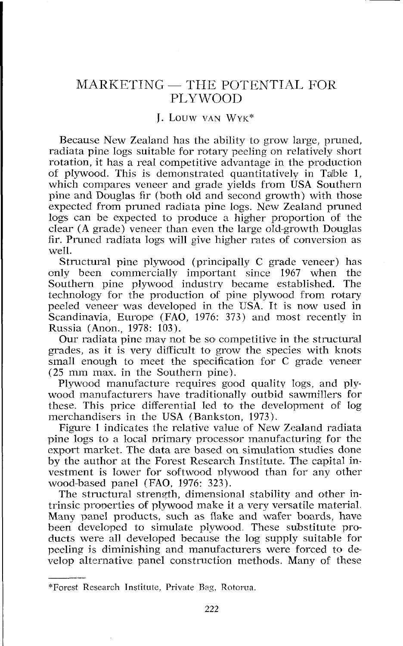## $MARKETING - THE POTENTIAL FOR$ PLYWOOD

## I. LOUW VAN WYK\*

Because New Zealand has the ability to grow large, pruned, radiata pine logs suitable for rotary peeling on relatively short rotation, it has a real competitive advantage in the production of plywood. This is demonstrated quantitatively in Taible 1, which compares veneer and grade yields from USA Southern pine and Douglas fir (both old and second growth) with those expected from pruned radiata pine logs. New Zealand pruned logs can be expected to produce a higher proportion of the clear (A grade) veneer than even the large old-growth Douglas fir. Pruned radiata logs will give higher rates of conversion as well.

Structural pine plywood (principally C grade veneer) has only been commercially important since 1967 when the<br>Southern pine plywood industry became established. The Southern pine plywood industry became established. technology for the production of pine plywood from rotary peeled veneer was developed in the USA. It is now used in Scandinavia, Europe (FAO, 1976: 373) and most recently in Russia (Anon., 1978: 103).

Our radiata pine may not be so competitive in the structural grades, as it is very difficult to grow the species with knots small enough to meet the specification for C grade veneer (25 mm max. in the Southern pine).

Plywood manufacture requires good quality logs, and plywood manufacturers have traditionally outbid sawmillers for these. This price differential led to the development of log merchandisers in the USA (Bankston, 1973).

Figure 1 indicates the relative value of New Zealand radiata pine logs to a local primary processor manufacturing for the export market. The data are based on simulation studies done by the author at the Forest Research Institute. The capital investment is lower for softwood plywood than for any other wood-based panel (FAO, 1976: 323).

The structural strength, dimensional stability and other intrinsic properties of plywood make it a very versatile material. Many panel products, such as flake and wafer boards, have been developed to simulate plywood These substitute products were all developed because the log supply suitable for peeling is diminishing and manufacturers were forced to develop alternative panel construction methods. Many of these

<sup>\*</sup>Forest Research Institute, Private Rag, Rotorua.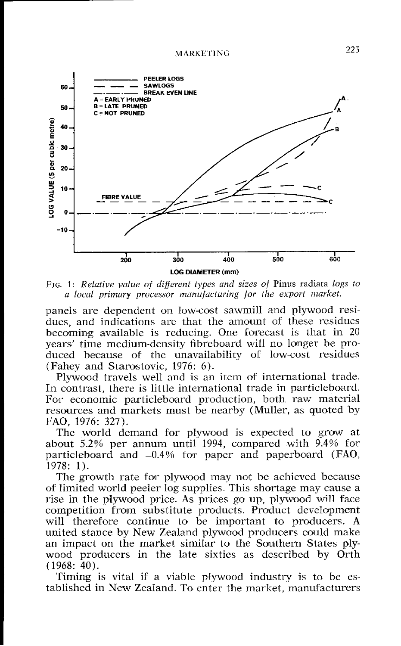

*FIG.* 1: *Relative value of different types and sizes of* Pinus radiata *logs to a local primary processor manufacturing for the export market.* 

panels are dependent on low-cost sawmill and plywood residues, and indications are that the amount of these residues becoming available is reducing. One forecast is that in  $20$ years' time medium-density fibreboard will no longer be produccd because of the unavailability of low-cost residues (Fahey and Starostovic, 1976: 6).

Plywood travels well and is an item of international trade. In contrast, there is little international trade in particleboard. For economic particleboard production, both raw material resources and markets must be nearby (Muller, as quoted by FAO, 1976: 327).

The world demand for plywood is expected to grow at about 5.2% per annum until 1994, compared with 9.4% for particleboard and -0.4% for paper and paperboard (FAO, 1978: 1).

The growth rate for plywood may not be achieved because of limited world peeler log supplies. This shortage may cause a rise in the plywood price. As prices go up, plywood will face competition from substitute products. Product development will therefore continue to be important to producers. **A**  united stance by New Zealand plywaod producers could make an impact on the market similar to the Southern States plywood producers in the late sixties as described by Orth (1968: 40).

Timing is vital if a viable plywood industry is to be established in New Zealand. To enter the market. manufacturers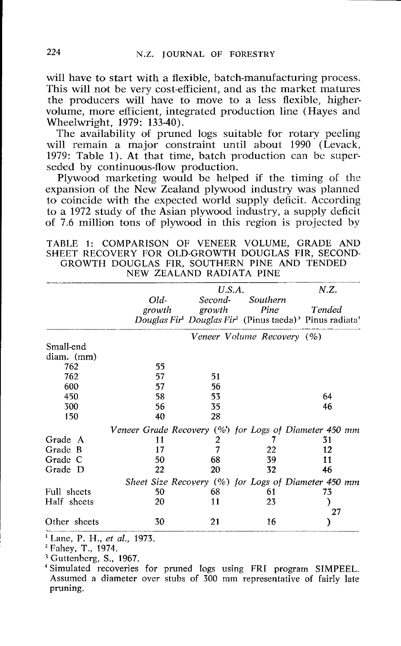will have to start with a flexible, batch-manufacturing process. This will not be very cost-efficient, and as the market matures the producers will have to move to a less flexible, highervolume, more efficient, integrated production line (Hayes and Wheelwright, 1979: 133-40).

The availability of pruned logs suitable for rotary peeling will remain a major constraint until about 1990 (Levack, 1979: Table 1). At that time, batch production can be superseded by continuous-flow production.

Plywood marketing would be helped if the timing of the expansion of the New Zealand plywood industry was planned to coincide with the expected world supply deficit. According to a 1972 study of the Asian plywood industry, a supply deficit of 7.6 million tons of plywood in this region is projected by

TABLE 1: COMPARISON OF VENEER VOLUME, GRADE AND SHEET RECOVERY FOR OLD-GROWTH DOUGLAS FIR, SECOND-GROWTH DOUGLAS FIR, SOUTHERN PINE AND TENDED NEW ZEALAND RADIATA PINE

|              |                                                       | U.S.A.            |                                                                                                                             | N.Z.   |  |
|--------------|-------------------------------------------------------|-------------------|-----------------------------------------------------------------------------------------------------------------------------|--------|--|
|              | Old-<br>growth                                        | Second-<br>growth | Southern<br>Pine<br>Douglas Fir <sup>1</sup> Douglas Fir <sup>2</sup> (Pinus taeda) <sup>3</sup> Pinus radiata <sup>1</sup> | Tended |  |
|              |                                                       |                   | Veneer Volume Recovery (%)                                                                                                  |        |  |
| Small-end    |                                                       |                   |                                                                                                                             |        |  |
| $diam.$ (mm) |                                                       |                   |                                                                                                                             |        |  |
| 762          | 55                                                    |                   |                                                                                                                             |        |  |
| 762          | 57                                                    | 51                |                                                                                                                             |        |  |
| 600          | 57                                                    | 56                |                                                                                                                             |        |  |
| 450          | 58                                                    | 53                |                                                                                                                             | 64     |  |
| 300          | 56                                                    | 35                |                                                                                                                             | 46     |  |
| 150          | 40                                                    | 28                |                                                                                                                             |        |  |
|              | Veneer Grade Recovery (%) for Logs of Diameter 450 mm |                   |                                                                                                                             |        |  |
| Grade A      | 11                                                    | 2                 |                                                                                                                             | 31     |  |
| Grade B      | 17                                                    | 7                 | 22                                                                                                                          | 12     |  |
| Grade C      | 50                                                    | 68                | 39                                                                                                                          | 11     |  |
| Grade D      | 22                                                    | 20                | 32                                                                                                                          | 46     |  |
|              |                                                       |                   | Sheet Size Recovery (%) for Logs of Diameter 450 mm                                                                         |        |  |
| Full sheets  | 50                                                    | 68                | 61                                                                                                                          | 73     |  |
| Half sheets  | 20                                                    | 11                | 23                                                                                                                          |        |  |
|              |                                                       |                   |                                                                                                                             | 27     |  |
| Other sheets | 30                                                    | 21                | 16                                                                                                                          |        |  |

' Lane, P. H., *et al.,* 1973.

Fahey, T., 1974.

**<sup>3</sup>**Guttenberg, S., 1967.

Simulated recoveries for pruned logs using FRI program SIMPEEL. Assumed a diameter over stubs of 300 mm representative of fairly late pruning.